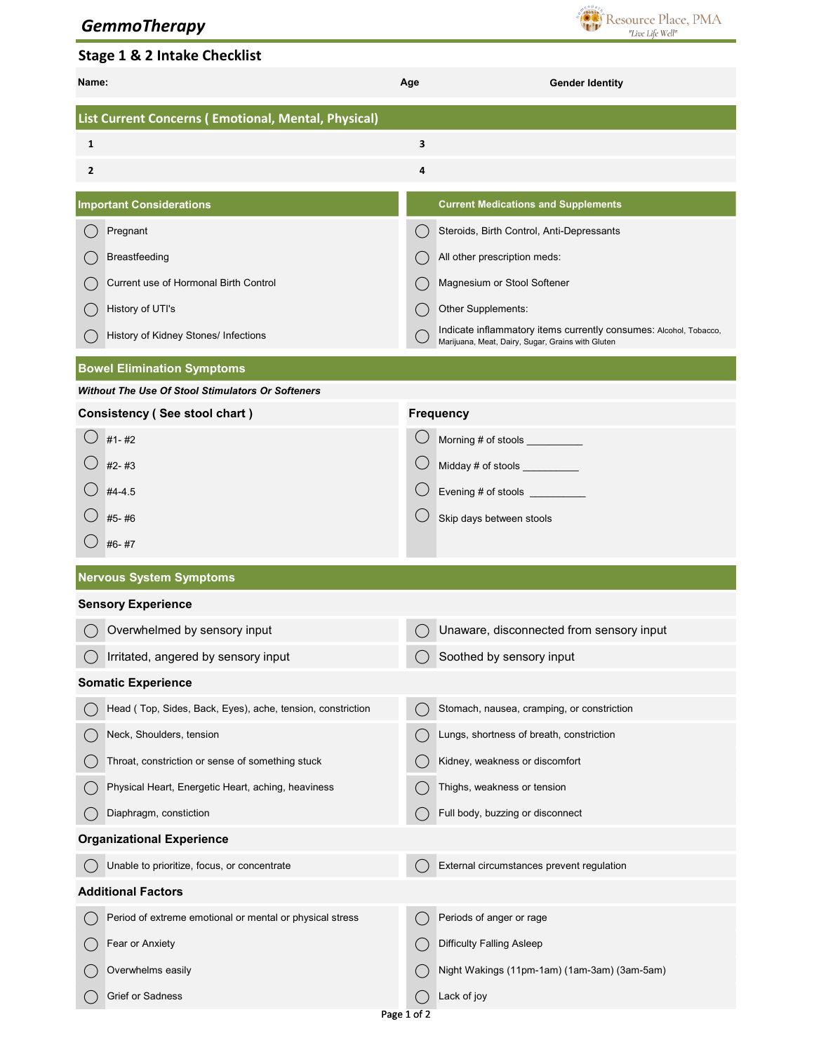## *GemmoTherapy*



## Stage 1 & 2 Intake Checklist

| Name:                                               |                                                            | Age                                           | <b>Gender Identity</b>                                                                                                 |  |  |  |
|-----------------------------------------------------|------------------------------------------------------------|-----------------------------------------------|------------------------------------------------------------------------------------------------------------------------|--|--|--|
| List Current Concerns (Emotional, Mental, Physical) |                                                            |                                               |                                                                                                                        |  |  |  |
| 1                                                   |                                                            | 3                                             |                                                                                                                        |  |  |  |
| 2                                                   |                                                            | 4                                             |                                                                                                                        |  |  |  |
| <b>Important Considerations</b>                     |                                                            |                                               | <b>Current Medications and Supplements</b>                                                                             |  |  |  |
|                                                     | Pregnant                                                   |                                               | Steroids, Birth Control, Anti-Depressants                                                                              |  |  |  |
|                                                     | Breastfeeding                                              |                                               | All other prescription meds:                                                                                           |  |  |  |
|                                                     | Current use of Hormonal Birth Control                      | $($ )                                         | Magnesium or Stool Softener                                                                                            |  |  |  |
|                                                     | History of UTI's                                           |                                               | Other Supplements:                                                                                                     |  |  |  |
|                                                     | History of Kidney Stones/ Infections                       |                                               | Indicate inflammatory items currently consumes: Alcohol, Tobacco,<br>Marijuana, Meat, Dairy, Sugar, Grains with Gluten |  |  |  |
|                                                     | <b>Bowel Elimination Symptoms</b>                          |                                               |                                                                                                                        |  |  |  |
| Without The Use Of Stool Stimulators Or Softeners   |                                                            |                                               |                                                                                                                        |  |  |  |
|                                                     | Consistency (See stool chart)                              |                                               | <b>Frequency</b>                                                                                                       |  |  |  |
|                                                     | $#1 - #2$                                                  |                                               | Morning # of stools __________                                                                                         |  |  |  |
|                                                     | $#2 - #3$                                                  |                                               | Midday # of stools _________                                                                                           |  |  |  |
|                                                     | $#4 - 4.5$                                                 |                                               |                                                                                                                        |  |  |  |
|                                                     | #5-#6                                                      |                                               | Skip days between stools                                                                                               |  |  |  |
|                                                     | #6-#7                                                      |                                               |                                                                                                                        |  |  |  |
| <b>Nervous System Symptoms</b>                      |                                                            |                                               |                                                                                                                        |  |  |  |
|                                                     | <b>Sensory Experience</b>                                  |                                               |                                                                                                                        |  |  |  |
|                                                     | Overwhelmed by sensory input                               | $\bigcirc$                                    | Unaware, disconnected from sensory input                                                                               |  |  |  |
|                                                     | Irritated, angered by sensory input                        |                                               | Soothed by sensory input                                                                                               |  |  |  |
| <b>Somatic Experience</b>                           |                                                            |                                               |                                                                                                                        |  |  |  |
|                                                     | Head (Top, Sides, Back, Eyes), ache, tension, constriction | $\left( \begin{array}{c} \end{array} \right)$ | Stomach, nausea, cramping, or constriction                                                                             |  |  |  |
|                                                     | Neck, Shoulders, tension                                   |                                               | Lungs, shortness of breath, constriction                                                                               |  |  |  |
|                                                     | Throat, constriction or sense of something stuck           |                                               | Kidney, weakness or discomfort                                                                                         |  |  |  |
|                                                     | Physical Heart, Energetic Heart, aching, heaviness         |                                               | Thighs, weakness or tension                                                                                            |  |  |  |
|                                                     | Diaphragm, constiction                                     |                                               | Full body, buzzing or disconnect                                                                                       |  |  |  |
| <b>Organizational Experience</b>                    |                                                            |                                               |                                                                                                                        |  |  |  |
|                                                     | Unable to prioritize, focus, or concentrate                |                                               | External circumstances prevent regulation                                                                              |  |  |  |
| <b>Additional Factors</b>                           |                                                            |                                               |                                                                                                                        |  |  |  |
|                                                     | Period of extreme emotional or mental or physical stress   |                                               | Periods of anger or rage                                                                                               |  |  |  |
|                                                     | Fear or Anxiety                                            | (                                             | <b>Difficulty Falling Asleep</b>                                                                                       |  |  |  |
|                                                     | Overwhelms easily                                          | $(\ )$                                        | Night Wakings (11pm-1am) (1am-3am) (3am-5am)                                                                           |  |  |  |
|                                                     | Grief or Sadness                                           |                                               | Lack of joy                                                                                                            |  |  |  |
| Page 1 of 2                                         |                                                            |                                               |                                                                                                                        |  |  |  |